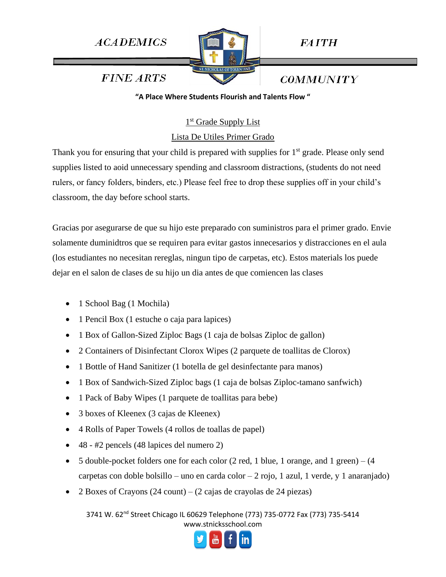**ACADEMICS** 



**FAITH** 

**COMMUNITY** 

**FINE ARTS** 

**"A Place Where Students Flourish and Talents Flow "**

1<sup>st</sup> Grade Supply List

Lista De Utiles Primer Grado

Thank you for ensuring that your child is prepared with supplies for 1<sup>st</sup> grade. Please only send supplies listed to aoid unnecessary spending and classroom distractions, (students do not need rulers, or fancy folders, binders, etc.) Please feel free to drop these supplies off in your child's classroom, the day before school starts.

Gracias por asegurarse de que su hijo este preparado con suministros para el primer grado. Envie solamente duminidtros que se requiren para evitar gastos innecesarios y distracciones en el aula (los estudiantes no necesitan rereglas, ningun tipo de carpetas, etc). Estos materials los puede dejar en el salon de clases de su hijo un dia antes de que comiencen las clases

- 1 School Bag (1 Mochila)
- 1 Pencil Box (1 estuche o caja para lapices)
- 1 Box of Gallon-Sized Ziploc Bags (1 caja de bolsas Ziploc de gallon)
- 2 Containers of Disinfectant Clorox Wipes (2 parquete de toallitas de Clorox)
- 1 Bottle of Hand Sanitizer (1 botella de gel desinfectante para manos)
- 1 Box of Sandwich-Sized Ziploc bags (1 caja de bolsas Ziploc-tamano sanfwich)
- 1 Pack of Baby Wipes (1 parquete de toallitas para bebe)
- 3 boxes of Kleenex (3 cajas de Kleenex)
- 4 Rolls of Paper Towels (4 rollos de toallas de papel)
- 48 #2 pencels (48 lapices del numero 2)
- 5 double-pocket folders one for each color  $(2 \text{ red}, 1 \text{ blue}, 1 \text{ orange}, \text{and } 1 \text{ green}) (4 \text{ red}, 1 \text{ blue})$ carpetas con doble bolsillo – uno en carda color – 2 rojo, 1 azul, 1 verde, y 1 anaranjado)
- 2 Boxes of Crayons (24 count) (2 cajas de crayolas de 24 piezas)

3741 W. 62<sup>nd</sup> Street Chicago IL 60629 Telephone (773) 735-0772 Fax (773) 735-5414 www.stnicksschool.com